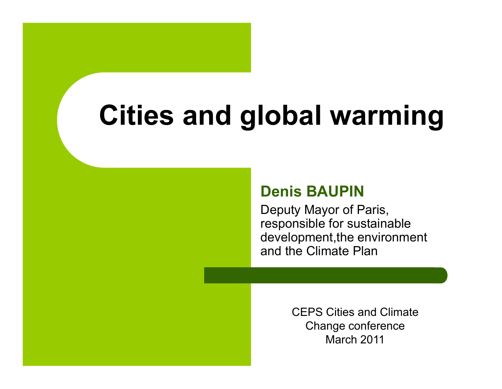# **Cities and global warming warming**

#### **Denis BAUPIN**

Deputy Mayor of Paris, responsible for sustainable development, the environment and the Climate Plan

> CEPS Cities and Climate Change conference March 2011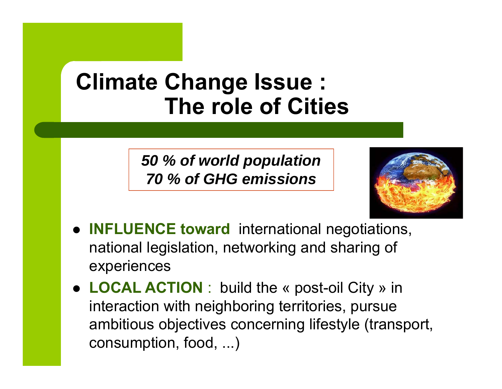#### **Climate Change Issue : The role of Cities**

*50 % of world population 70 % of GHG emissions*



- **INFLUENCE toward** international negotiations, national legislation, networking and sharing of experiences
- **LOCAL ACTION**: build the « post-oil City » in interaction with neighboring territories, pursue ambitious objectives concerning lifestyle (transport, consumption, food, ...)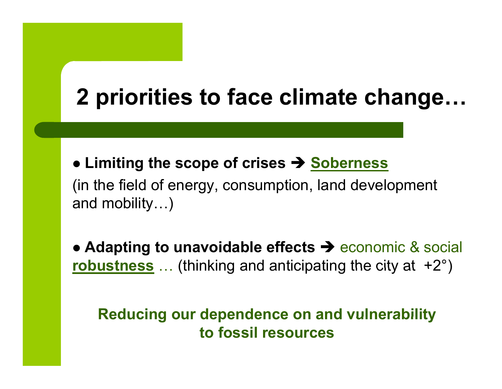# **2 priorities to face climate change…**

 $\bullet$  **Limiting the scope of crises**  $\rightarrow$  **<u>Soberness</u></u>** (in the field of energy, consumption, land development and mobility…)

• Adapting to unavoidable effects  $\rightarrow$  economic & social **<u>robustness</u>** ... (thinking and anticipating the city at +2°  $^{\circ})$ 

**Reducing our dependence on and vulnerability to fossil resources**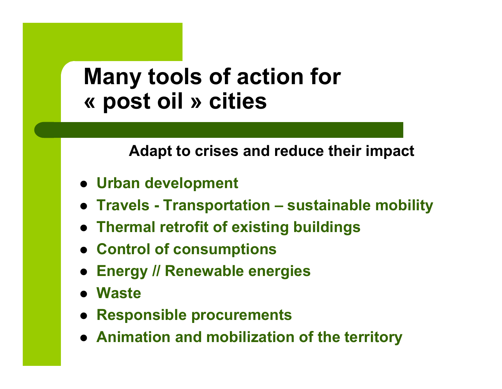#### **M t l f ti f Many too ls o f action for « post oil » cities**

**Adapt to crises and reduce their impact**

- **Urban development**
- z **Travels - Transportation – sustainable mobility**
- z **Thermal retrofit of existing buildings**
- **Control of consumptions**
- z **E // R bl i Energy Renewable energies**
- z **Waste**
- $\bullet$ **Responsible procurements**
- **Animation and mobilization of the territory**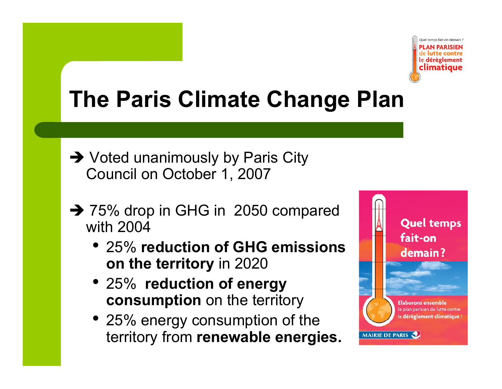

## **The Paris Climate Change Plan**

- $\rightarrow$  Voted unanimously by Paris City Council on October 1, 2007
- $\rightarrow$  75% drop in GHG in 2050 compared with 2004
	- 25% **reduction of GHG emissions on the territory territory**in 2020
	- 25% **reduction of energy consumption** on the territory
	- 25% energy consumption of the territory from **renewable energies.**

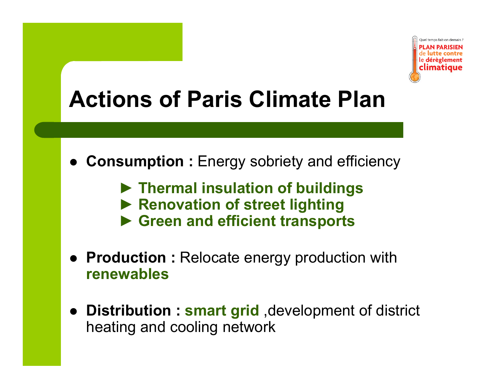

# **Actions of Paris Climate Plan**

- $\bullet$  **Consumption :** Energy sobriety and efficiency
	- **► Thermal insulation of buildings**
	- **► Renovation of street lighting**
	- **► Green and efficient transports**
- **Production :** Relocate energy production with **renewables**
- **Distribution : smart grid**, development of district heating and cooling network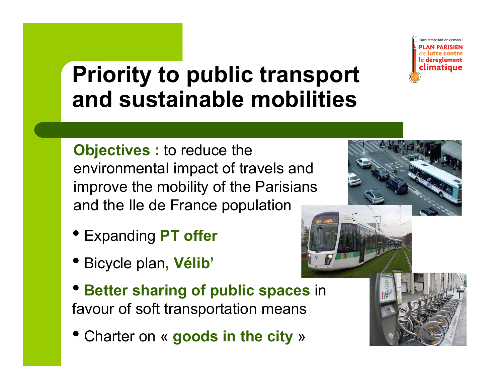

#### **Priority to public transport and sustainable mobilities**

**Objectives :** to reduce the environmental impact of travels and improve the mobility of the Parisians and the Ile de France population

- Expanding **PT offer**
- Bicycle plan **, Vélib Vélib'**
- **Better sharing of public spaces** in favour of soft trans portation means
- Charter on « **goods in the city** »

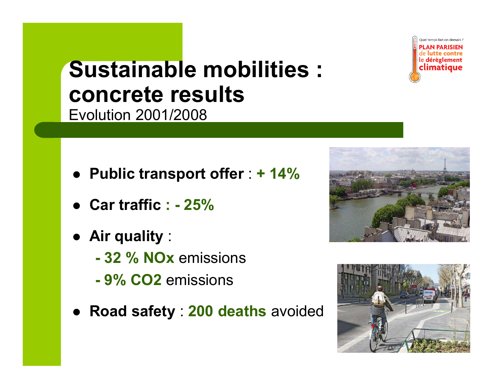

#### **Sustainable mobilities : concrete results**  Evolution 2001/2008

- z **P bli t t ff ublic transpor t offer** : **+ 14%**
- z **Car traffic : - 25%**
- z **Air quality** :
	- **- 32 % NOx** emissions
	- **- 9% CO2** emissions
- z **Road safet y** : **200 deaths** avoided



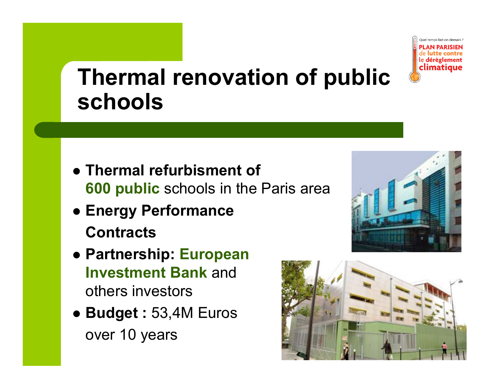

#### **Th l ti f bli Therma l renovation o f public schools**

- z **Thermal refurbisment of 600 public** schools in the Paris area
- z **Energy Performance Contracts**
- z **Partnership: European I t tB k Inves tmentBan**andothers investors
- z **Budget :** 53,4M Euros over 10 years



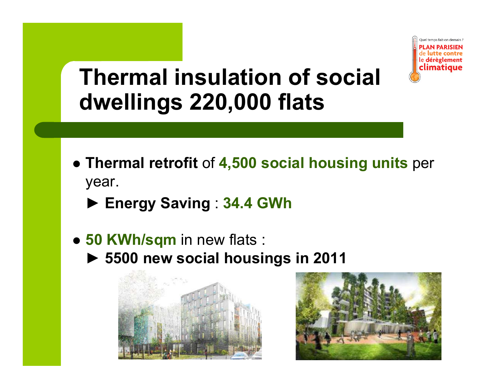

#### **Th l i l ti f i l Thermainsuation of socadwellings 220,000 flats**

- **Thermal retrofit of 4,500 social housing units per** year.
	- ► **Energy Saving** : **34.4 GWh**
- **50 KWh/sqm** in new flats :
	- ► **5500 new social housings in 2011**



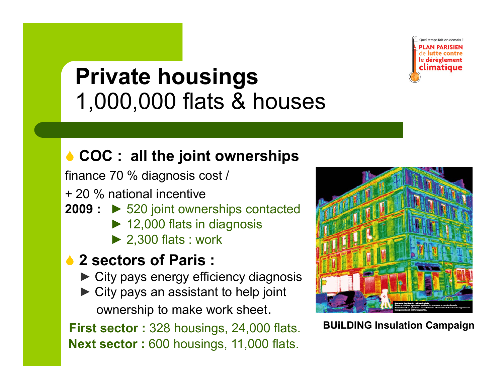

# **Pi t h i Private housings**  1,000,000 flats & houses

#### 6 **COC : all the joint ownerships**

finance 70 % diagnosis cost /

+ 20 % national incentive

- **2009 :** ► 520 joint ownerships contacted
	- ► 12,000 flats in diagnosis
	- ► 2,300 flats : work

#### **↑ 2 sectors of Paris :**

- ► City pays energy efficiency diagnosis
- ► City pays an assistant to help joint ownership to make work sheet.

**First sector :** 328 housings, 24,000 flats. **BUiLDING Insulation Campaign Next sector :** 600 housings, 11,000 flats.

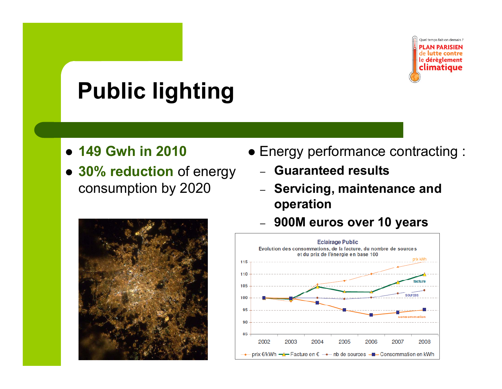

# **Public lighting**

- z **149 Gwh in 2010**
- z **30% reduction** of energy **Guaranteed results** consumption by 2020
- Energy performance contracting :
	- Guaranteed results
	- **Servicing, maintenance and operation**





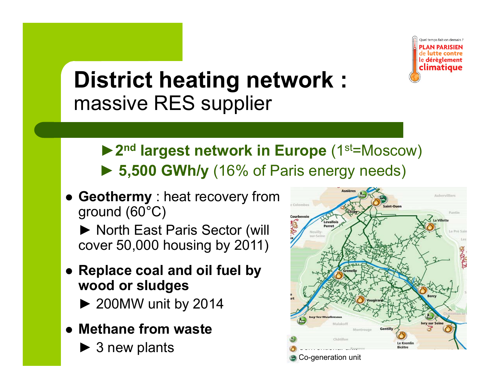

#### **Di t i t h ti t k s r c heating ne twor k :**  massive RES supplier

- ▶ 2<sup>nd</sup> largest network in Europe (1<sup>st=Moscow)</sup> ► **5 500 GWh/y 5,500** (16% of Paris energy needs)
- **Geothermy** : heat recovery from ground (60°C)
	- ► North East Paris Sector (will cover 50,000 housing by 2011)
- z **R l l d il f l b Replace coal an d oil fuel by wood or sludges**
	- ► 200MW unit by 2014
- **Methane from waste** 
	- ► 3 new plants

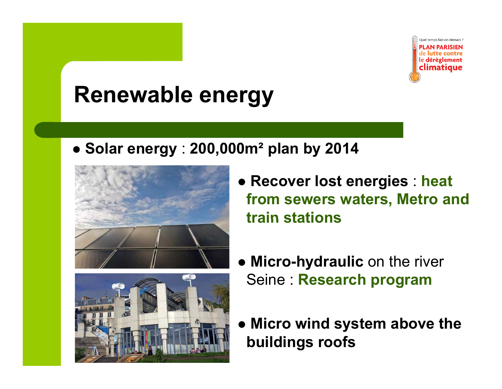

### **Renewable energy**

z **Solar energy** : **200,000m² plan by 2014**





- z **Recover lost energies** : **heat from sewers waters, Metro and train stations**
- **Micro-hydraulic** on the river Seine : **Research program**
- z **Micro wind system above the buildings roofs**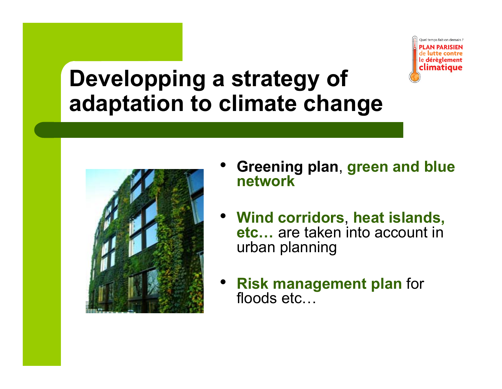

#### **D l i tt f Deve lopp ing a s tra tegy o adaptation to climate change**



- • **Greening plan** , **green and blue network**
- **Wind corridors** , **heat islands islands, etc…** are taken into account inurban planning
- • **Risk management plan** for floods etc...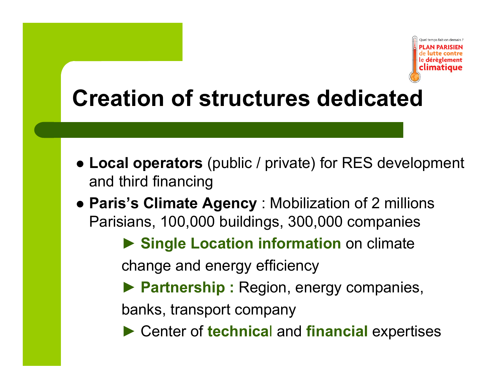

# **Creation of structures dedicated**

- Local operators (public / private) for RES development and third financing
- **Paris's Climate Agency** : Mobilization of 2 millions Parisians, 100,000 buildings, 300,000 companies
	- **► Single Location information** on climate

change and energy efficiency

**► Partnership :** Region, energy companies,

banks, transport company

**►** Center of **technica**l and **financial** expertises